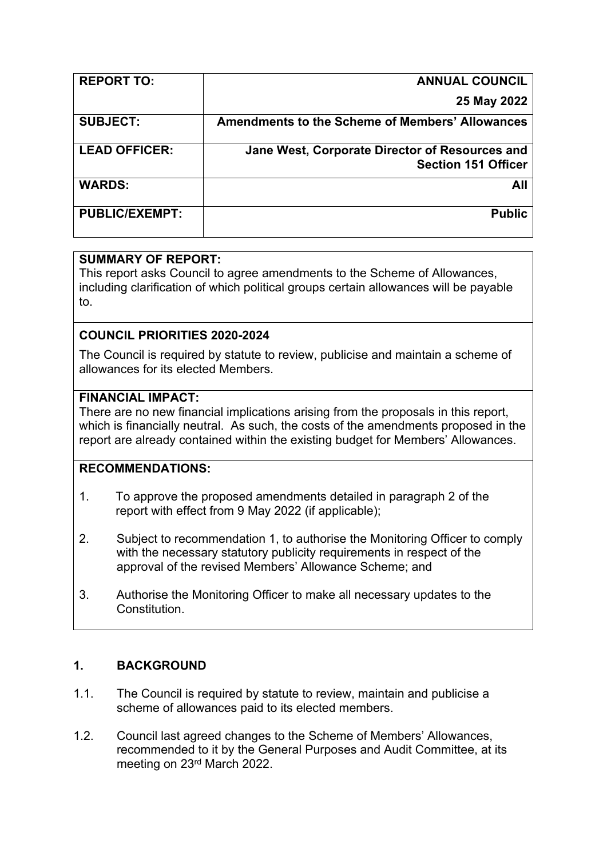| <b>REPORT TO:</b>     | <b>ANNUAL COUNCIL</b>                                  |
|-----------------------|--------------------------------------------------------|
|                       | 25 May 2022                                            |
| <b>SUBJECT:</b>       | <b>Amendments to the Scheme of Members' Allowances</b> |
| <b>LEAD OFFICER:</b>  | Jane West, Corporate Director of Resources and         |
|                       | <b>Section 151 Officer</b>                             |
| <b>WARDS:</b>         | All                                                    |
| <b>PUBLIC/EXEMPT:</b> | <b>Public</b>                                          |
|                       |                                                        |

### **SUMMARY OF REPORT:**

This report asks Council to agree amendments to the Scheme of Allowances, including clarification of which political groups certain allowances will be payable to.

# **COUNCIL PRIORITIES 2020-2024**

The Council is required by statute to review, publicise and maintain a scheme of allowances for its elected Members.

### **FINANCIAL IMPACT:**

There are no new financial implications arising from the proposals in this report, which is financially neutral. As such, the costs of the amendments proposed in the report are already contained within the existing budget for Members' Allowances.

# **RECOMMENDATIONS:**

- 1. To approve the proposed amendments detailed in paragraph 2 of the report with effect from 9 May 2022 (if applicable);
- 2. Subject to recommendation 1, to authorise the Monitoring Officer to comply with the necessary statutory publicity requirements in respect of the approval of the revised Members' Allowance Scheme; and
- 3. Authorise the Monitoring Officer to make all necessary updates to the **Constitution**

# **1. BACKGROUND**

- 1.1. The Council is required by statute to review, maintain and publicise a scheme of allowances paid to its elected members.
- 1.2. Council last agreed changes to the Scheme of Members' Allowances, recommended to it by the General Purposes and Audit Committee, at its meeting on 23rd March 2022.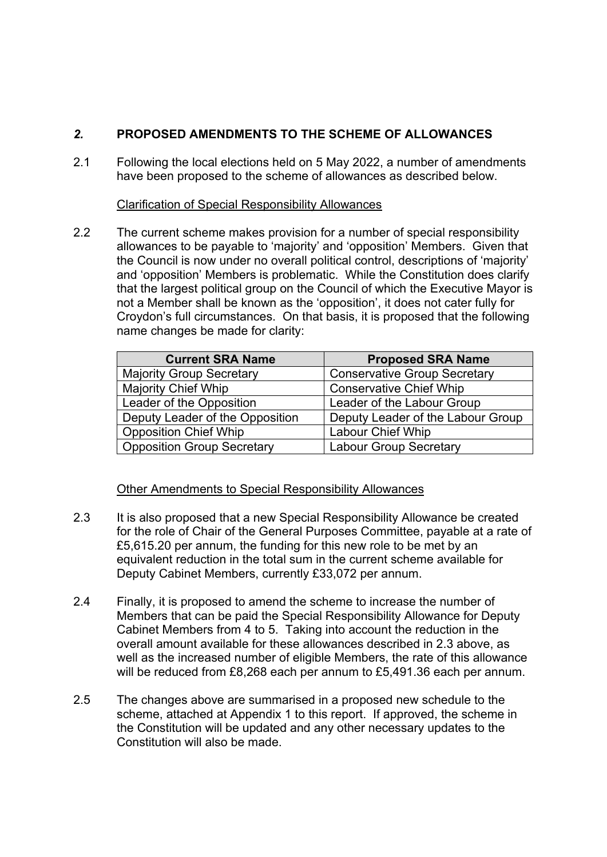# *2.* **PROPOSED AMENDMENTS TO THE SCHEME OF ALLOWANCES**

2.1 Following the local elections held on 5 May 2022, a number of amendments have been proposed to the scheme of allowances as described below.

#### Clarification of Special Responsibility Allowances

2.2 The current scheme makes provision for a number of special responsibility allowances to be payable to 'majority' and 'opposition' Members. Given that the Council is now under no overall political control, descriptions of 'majority' and 'opposition' Members is problematic. While the Constitution does clarify that the largest political group on the Council of which the Executive Mayor is not a Member shall be known as the 'opposition', it does not cater fully for Croydon's full circumstances. On that basis, it is proposed that the following name changes be made for clarity:

| <b>Current SRA Name</b>           | <b>Proposed SRA Name</b>            |  |
|-----------------------------------|-------------------------------------|--|
| <b>Majority Group Secretary</b>   | <b>Conservative Group Secretary</b> |  |
| <b>Majority Chief Whip</b>        | <b>Conservative Chief Whip</b>      |  |
| Leader of the Opposition          | Leader of the Labour Group          |  |
| Deputy Leader of the Opposition   | Deputy Leader of the Labour Group   |  |
| <b>Opposition Chief Whip</b>      | <b>Labour Chief Whip</b>            |  |
| <b>Opposition Group Secretary</b> | <b>Labour Group Secretary</b>       |  |

### Other Amendments to Special Responsibility Allowances

- 2.3 It is also proposed that a new Special Responsibility Allowance be created for the role of Chair of the General Purposes Committee, payable at a rate of £5,615.20 per annum, the funding for this new role to be met by an equivalent reduction in the total sum in the current scheme available for Deputy Cabinet Members, currently £33,072 per annum.
- 2.4 Finally, it is proposed to amend the scheme to increase the number of Members that can be paid the Special Responsibility Allowance for Deputy Cabinet Members from 4 to 5. Taking into account the reduction in the overall amount available for these allowances described in 2.3 above, as well as the increased number of eligible Members, the rate of this allowance will be reduced from £8,268 each per annum to £5,491.36 each per annum.
- 2.5 The changes above are summarised in a proposed new schedule to the scheme, attached at Appendix 1 to this report. If approved, the scheme in the Constitution will be updated and any other necessary updates to the Constitution will also be made.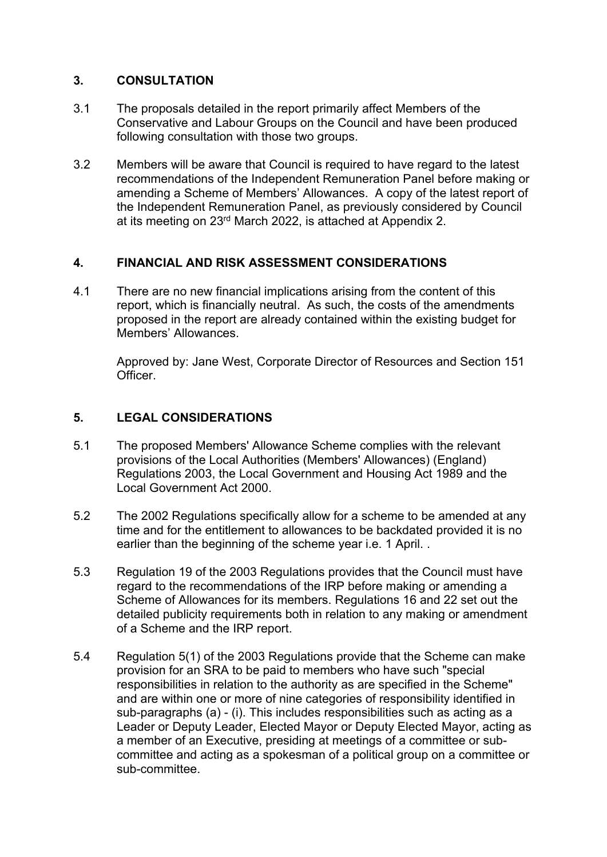#### **3. CONSULTATION**

- 3.1 The proposals detailed in the report primarily affect Members of the Conservative and Labour Groups on the Council and have been produced following consultation with those two groups.
- 3.2 Members will be aware that Council is required to have regard to the latest recommendations of the Independent Remuneration Panel before making or amending a Scheme of Members' Allowances. A copy of the latest report of the Independent Remuneration Panel, as previously considered by Council at its meeting on 23<sup>rd</sup> March 2022, is attached at Appendix 2.

### **4. FINANCIAL AND RISK ASSESSMENT CONSIDERATIONS**

4.1 There are no new financial implications arising from the content of this report, which is financially neutral. As such, the costs of the amendments proposed in the report are already contained within the existing budget for Members' Allowances.

Approved by: Jane West, Corporate Director of Resources and Section 151 Officer.

#### **5. LEGAL CONSIDERATIONS**

- 5.1 The proposed Members' Allowance Scheme complies with the relevant provisions of the Local Authorities (Members' Allowances) (England) Regulations 2003, the Local Government and Housing Act 1989 and the Local Government Act 2000.
- 5.2 The 2002 Regulations specifically allow for a scheme to be amended at any time and for the entitlement to allowances to be backdated provided it is no earlier than the beginning of the scheme year i.e. 1 April. .
- 5.3 Regulation 19 of the 2003 Regulations provides that the Council must have regard to the recommendations of the IRP before making or amending a Scheme of Allowances for its members. Regulations 16 and 22 set out the detailed publicity requirements both in relation to any making or amendment of a Scheme and the IRP report.
- 5.4 Regulation 5(1) of the 2003 Regulations provide that the Scheme can make provision for an SRA to be paid to members who have such "special responsibilities in relation to the authority as are specified in the Scheme" and are within one or more of nine categories of responsibility identified in sub-paragraphs (a) - (i). This includes responsibilities such as acting as a Leader or Deputy Leader, Elected Mayor or Deputy Elected Mayor, acting as a member of an Executive, presiding at meetings of a committee or subcommittee and acting as a spokesman of a political group on a committee or sub-committee.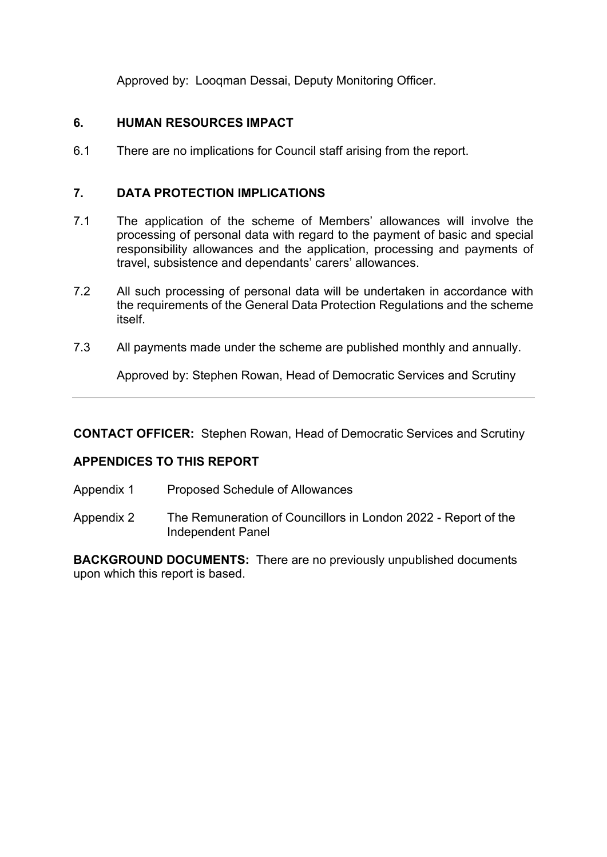Approved by: Looqman Dessai, Deputy Monitoring Officer.

# **6. HUMAN RESOURCES IMPACT**

6.1 There are no implications for Council staff arising from the report.

# **7. DATA PROTECTION IMPLICATIONS**

- 7.1 The application of the scheme of Members' allowances will involve the processing of personal data with regard to the payment of basic and special responsibility allowances and the application, processing and payments of travel, subsistence and dependants' carers' allowances.
- 7.2 All such processing of personal data will be undertaken in accordance with the requirements of the General Data Protection Regulations and the scheme itself.
- 7.3 All payments made under the scheme are published monthly and annually.

Approved by: Stephen Rowan, Head of Democratic Services and Scrutiny

**CONTACT OFFICER:** Stephen Rowan, Head of Democratic Services and Scrutiny

### **APPENDICES TO THIS REPORT**

- Appendix 1 Proposed Schedule of Allowances
- Appendix 2 The Remuneration of Councillors in London 2022 Report of the Independent Panel

**BACKGROUND DOCUMENTS:** There are no previously unpublished documents upon which this report is based.